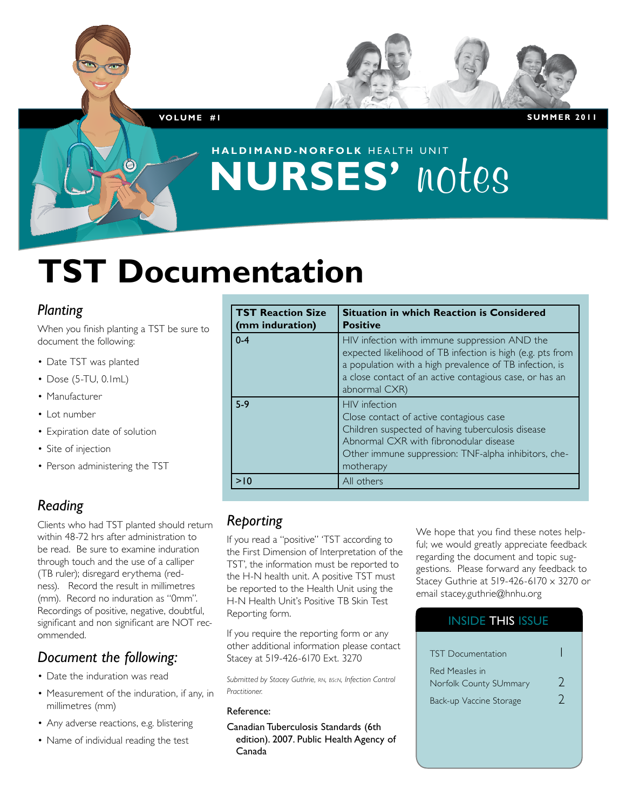**Vol u m e #1 S u m m er 2011**

## **haldimand-norfolk** HEALTH UNIT **NURSES' notes**

# **TST Documentation**

### *Planting*

When you finish planting a TST be sure to document the following:

- Date TST was planted
- $\bullet$  Dose (5-TU, 0.1mL)
- • Manufacturer
- • Lot number
- Expiration date of solution
- Site of injection
- Person administering the TST

## *Reading*

Clients who had TST planted should return within 48-72 hrs after administration to be read. Be sure to examine induration through touch and the use of a calliper (TB ruler); disregard erythema (redness). Record the result in millimetres (mm). Record no induration as "0mm". Recordings of positive, negative, doubtful, significant and non significant are NOT recommended.

## *Document the following:*

- Date the induration was read
- Measurement of the induration, if any, in millimetres (mm)
- Any adverse reactions, e.g. blistering
- Name of individual reading the test

| <b>TST Reaction Size</b><br>(mm induration) | <b>Situation in which Reaction is Considered</b><br><b>Positive</b>                                                                                                                                                                                |
|---------------------------------------------|----------------------------------------------------------------------------------------------------------------------------------------------------------------------------------------------------------------------------------------------------|
| $0 - 4$                                     | HIV infection with immune suppression AND the<br>expected likelihood of TB infection is high (e.g. pts from<br>a population with a high prevalence of TB infection, is<br>a close contact of an active contagious case, or has an<br>abnormal CXR) |
| $5-9$                                       | <b>HIV</b> infection<br>Close contact of active contagious case<br>Children suspected of having tuberculosis disease<br>Abnormal CXR with fibronodular disease<br>Other immune suppression: TNF-alpha inhibitors, che-<br>motherapy                |
| >10                                         | All others                                                                                                                                                                                                                                         |

### *Reporting*

If you read a "positive" 'TST according to the First Dimension of Interpretation of the TST', the information must be reported to the H-N health unit. A positive TST must be reported to the Health Unit using the H-N Health Unit's Positive TB Skin Test Reporting form.

If you require the reporting form or any other additional information please contact Stacey at 519-426-6170 Ext. 3270

*Submitted by Stacey Guthrie, rn, bscn, Infection Control Practitioner.*

#### Reference:

Canadian Tuberculosis Standards (6th edition). 2007. Public Health Agency of Canada

We hope that you find these notes helpful; we would greatly appreciate feedback regarding the document and topic suggestions. Please forward any feedback to Stacey Guthrie at 519-426-6170 x 3270 or email stacey.guthrie@hnhu.org

## INSIDE THIS ISSUE TST Documentation 1 Red Measles in Norfolk County SUmmary 2 Back-up Vaccine Storage 2